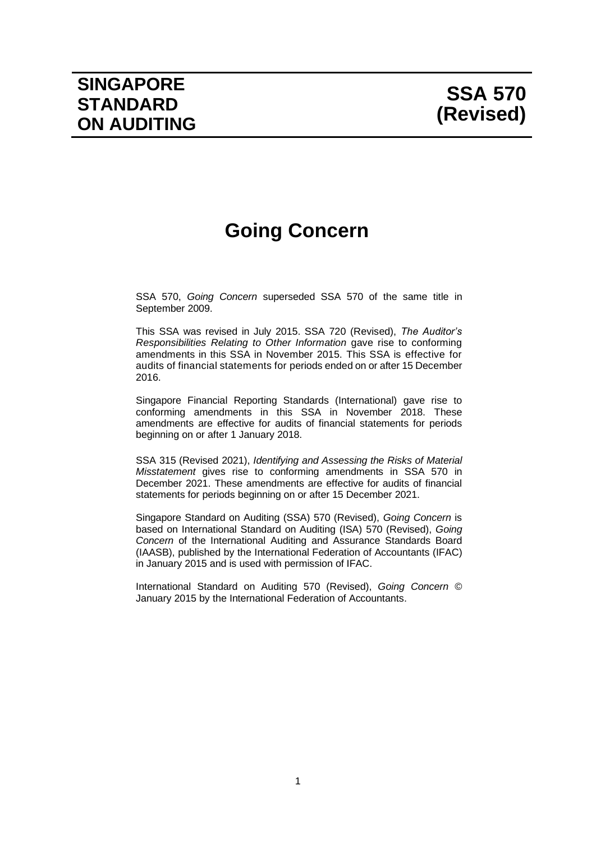# **Going Concern**

SSA 570, *Going Concern* superseded SSA 570 of the same title in September 2009.

This SSA was revised in July 2015. SSA 720 (Revised), *The Auditor's Responsibilities Relating to Other Information* gave rise to conforming amendments in this SSA in November 2015. This SSA is effective for audits of financial statements for periods ended on or after 15 December 2016.

Singapore Financial Reporting Standards (International) gave rise to conforming amendments in this SSA in November 2018. These amendments are effective for audits of financial statements for periods beginning on or after 1 January 2018.

SSA 315 (Revised 2021), *Identifying and Assessing the Risks of Material Misstatement* gives rise to conforming amendments in SSA 570 in December 2021. These amendments are effective for audits of financial statements for periods beginning on or after 15 December 2021.

Singapore Standard on Auditing (SSA) 570 (Revised), *Going Concern* is based on International Standard on Auditing (ISA) 570 (Revised), *Going Concern* of the International Auditing and Assurance Standards Board (IAASB), published by the International Federation of Accountants (IFAC) in January 2015 and is used with permission of IFAC.

International Standard on Auditing 570 (Revised), *Going Concern* © January 2015 by the International Federation of Accountants.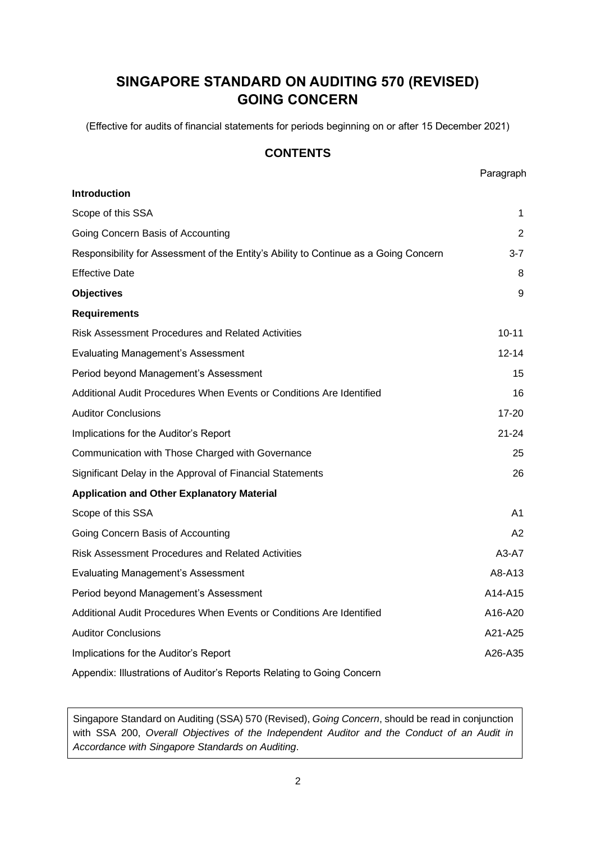## **SINGAPORE STANDARD ON AUDITING 570 (REVISED) GOING CONCERN**

(Effective for audits of financial statements for periods beginning on or after 15 December 2021)

### **CONTENTS**

Paragraph **Introduction** Scope of this SSA ............................................................................................................ 1 Going Concern Basis of Accounting ................................................................................. 2 Responsibility for Assessment of the Entity's Ability to Continue as a Going Concern ....... 3-7 Effective Date .................................................................................................................. 8 **Objectives** ...................................................................................................................... 9 **Requirements** Risk Assessment Procedures and Related Activities ........................................................ 10-11 Evaluating Management's Assessment ............................................................................ 12-14 Period beyond Management's Assessment ...................................................................... 15 Additional Audit Procedures When Events or Conditions Are Identified ............................ 16 Auditor Conclusions.......................................................................................................... 17-20 Implications for the Auditor's Report.................................................................................. 21-24 Communication with Those Charged with Governance .................................................... 25 Significant Delay in the Approval of Financial Statements ................................................ 26 **Application and Other Explanatory Material** Scope of this SSA. **A1** Going Concern Basis of Accounting ................................................................................. A2 Risk Assessment Procedures and Related Activities ........................................................ A3-A7 Evaluating Management's Assessment ............................................................................ A8-A13 Period beyond Management's Assessment ...................................................................... A14-A15 Additional Audit Procedures When Events or Conditions Are Identified ............................ A16-A20 Auditor Conclusions.......................................................................................................... A21-A25 Implications for the Auditor's Report.................................................................................. A26-A35 Appendix: Illustrations of Auditor's Reports Relating to Going Concern

Singapore Standard on Auditing (SSA) 570 (Revised), *Going Concern*, should be read in conjunction with SSA 200, *Overall Objectives of the Independent Auditor and the Conduct of an Audit in Accordance with Singapore Standards on Auditing*.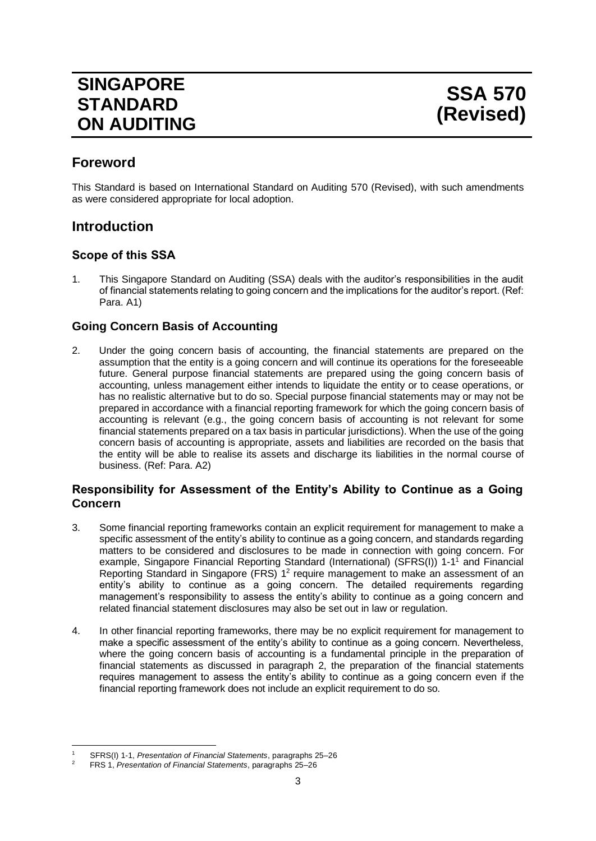# **SINGAPORE STANDARD ON AUDITING**

## **Foreword**

This Standard is based on International Standard on Auditing 570 (Revised), with such amendments as were considered appropriate for local adoption.

## **Introduction**

## **Scope of this SSA**

1. This Singapore Standard on Auditing (SSA) deals with the auditor's responsibilities in the audit of financial statements relating to going concern and the implications for the auditor's report. (Ref: Para. A1)

## **Going Concern Basis of Accounting**

2. Under the going concern basis of accounting, the financial statements are prepared on the assumption that the entity is a going concern and will continue its operations for the foreseeable future. General purpose financial statements are prepared using the going concern basis of accounting, unless management either intends to liquidate the entity or to cease operations, or has no realistic alternative but to do so. Special purpose financial statements may or may not be prepared in accordance with a financial reporting framework for which the going concern basis of accounting is relevant (e.g., the going concern basis of accounting is not relevant for some financial statements prepared on a tax basis in particular jurisdictions). When the use of the going concern basis of accounting is appropriate, assets and liabilities are recorded on the basis that the entity will be able to realise its assets and discharge its liabilities in the normal course of business. (Ref: Para. A2)

## **Responsibility for Assessment of the Entity's Ability to Continue as a Going Concern**

- 3. Some financial reporting frameworks contain an explicit requirement for management to make a specific assessment of the entity's ability to continue as a going concern, and standards regarding matters to be considered and disclosures to be made in connection with going concern. For example, Singapore Financial Reporting Standard (International) (SFRS(I)) 1-1<sup>1</sup> and Financial Reporting Standard in Singapore (FRS)  $1<sup>2</sup>$  require management to make an assessment of an entity's ability to continue as a going concern. The detailed requirements regarding management's responsibility to assess the entity's ability to continue as a going concern and related financial statement disclosures may also be set out in law or regulation.
- 4. In other financial reporting frameworks, there may be no explicit requirement for management to make a specific assessment of the entity's ability to continue as a going concern. Nevertheless, where the going concern basis of accounting is a fundamental principle in the preparation of financial statements as discussed in paragraph 2, the preparation of the financial statements requires management to assess the entity's ability to continue as a going concern even if the financial reporting framework does not include an explicit requirement to do so.

<sup>1</sup> SFRS(I) 1-1, *Presentation of Financial Statements*, paragraphs 25–26

<sup>2</sup> FRS 1, *Presentation of Financial Statements*, paragraphs 25–26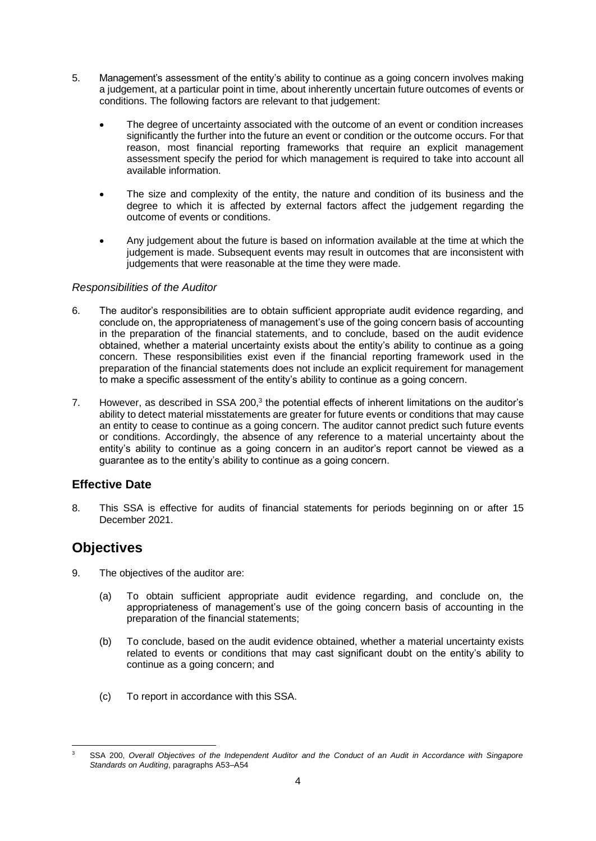- 5. Management's assessment of the entity's ability to continue as a going concern involves making a judgement, at a particular point in time, about inherently uncertain future outcomes of events or conditions. The following factors are relevant to that judgement:
	- The degree of uncertainty associated with the outcome of an event or condition increases significantly the further into the future an event or condition or the outcome occurs. For that reason, most financial reporting frameworks that require an explicit management assessment specify the period for which management is required to take into account all available information.
	- The size and complexity of the entity, the nature and condition of its business and the degree to which it is affected by external factors affect the judgement regarding the outcome of events or conditions.
	- Any judgement about the future is based on information available at the time at which the judgement is made. Subsequent events may result in outcomes that are inconsistent with judgements that were reasonable at the time they were made.

#### *Responsibilities of the Auditor*

- 6. The auditor's responsibilities are to obtain sufficient appropriate audit evidence regarding, and conclude on, the appropriateness of management's use of the going concern basis of accounting in the preparation of the financial statements, and to conclude, based on the audit evidence obtained, whether a material uncertainty exists about the entity's ability to continue as a going concern. These responsibilities exist even if the financial reporting framework used in the preparation of the financial statements does not include an explicit requirement for management to make a specific assessment of the entity's ability to continue as a going concern.
- 7. However, as described in SSA 200, $3$  the potential effects of inherent limitations on the auditor's ability to detect material misstatements are greater for future events or conditions that may cause an entity to cease to continue as a going concern. The auditor cannot predict such future events or conditions. Accordingly, the absence of any reference to a material uncertainty about the entity's ability to continue as a going concern in an auditor's report cannot be viewed as a guarantee as to the entity's ability to continue as a going concern.

## **Effective Date**

8. This SSA is effective for audits of financial statements for periods beginning on or after 15 December 2021.

## **Objectives**

- 9. The objectives of the auditor are:
	- (a) To obtain sufficient appropriate audit evidence regarding, and conclude on, the appropriateness of management's use of the going concern basis of accounting in the preparation of the financial statements;
	- (b) To conclude, based on the audit evidence obtained, whether a material uncertainty exists related to events or conditions that may cast significant doubt on the entity's ability to continue as a going concern; and
	- (c) To report in accordance with this SSA.

<sup>&</sup>lt;sup>3</sup> SSA 200, Overall Objectives of the Independent Auditor and the Conduct of an Audit in Accordance with Singapore *Standards on Auditing*, paragraphs A53–A54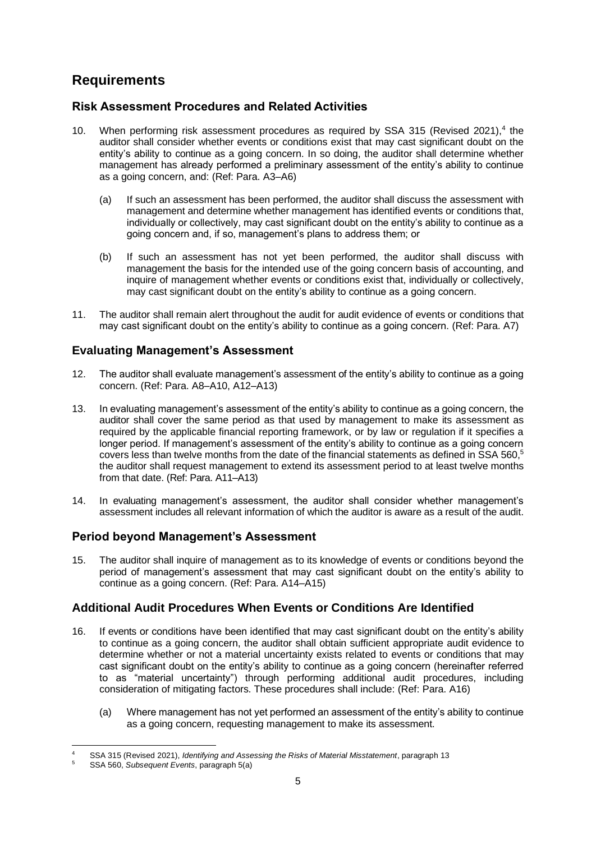## **Requirements**

## **Risk Assessment Procedures and Related Activities**

- 10. When performing risk assessment procedures as required by SSA 315 (Revised 2021),<sup>4</sup> the auditor shall consider whether events or conditions exist that may cast significant doubt on the entity's ability to continue as a going concern. In so doing, the auditor shall determine whether management has already performed a preliminary assessment of the entity's ability to continue as a going concern, and: (Ref: Para. A3–A6)
	- (a) If such an assessment has been performed, the auditor shall discuss the assessment with management and determine whether management has identified events or conditions that, individually or collectively, may cast significant doubt on the entity's ability to continue as a going concern and, if so, management's plans to address them; or
	- (b) If such an assessment has not yet been performed, the auditor shall discuss with management the basis for the intended use of the going concern basis of accounting, and inquire of management whether events or conditions exist that, individually or collectively, may cast significant doubt on the entity's ability to continue as a going concern.
- 11. The auditor shall remain alert throughout the audit for audit evidence of events or conditions that may cast significant doubt on the entity's ability to continue as a going concern. (Ref: Para. A7)

## **Evaluating Management's Assessment**

- 12. The auditor shall evaluate management's assessment of the entity's ability to continue as a going concern. (Ref: Para. A8–A10, A12–A13)
- 13. In evaluating management's assessment of the entity's ability to continue as a going concern, the auditor shall cover the same period as that used by management to make its assessment as required by the applicable financial reporting framework, or by law or regulation if it specifies a longer period. If management's assessment of the entity's ability to continue as a going concern covers less than twelve months from the date of the financial statements as defined in SSA 560,<sup>5</sup> the auditor shall request management to extend its assessment period to at least twelve months from that date. (Ref: Para. A11–A13)
- 14. In evaluating management's assessment, the auditor shall consider whether management's assessment includes all relevant information of which the auditor is aware as a result of the audit.

## **Period beyond Management's Assessment**

15. The auditor shall inquire of management as to its knowledge of events or conditions beyond the period of management's assessment that may cast significant doubt on the entity's ability to continue as a going concern. (Ref: Para. A14–A15)

## **Additional Audit Procedures When Events or Conditions Are Identified**

- 16. If events or conditions have been identified that may cast significant doubt on the entity's ability to continue as a going concern, the auditor shall obtain sufficient appropriate audit evidence to determine whether or not a material uncertainty exists related to events or conditions that may cast significant doubt on the entity's ability to continue as a going concern (hereinafter referred to as "material uncertainty") through performing additional audit procedures, including consideration of mitigating factors. These procedures shall include: (Ref: Para. A16)
	- (a) Where management has not yet performed an assessment of the entity's ability to continue as a going concern, requesting management to make its assessment.

<sup>4</sup> SSA 315 (Revised 2021), *Identifying and Assessing the Risks of Material Misstatement*, paragraph 13

<sup>5</sup> SSA 560, *Subsequent Events*, paragraph 5(a)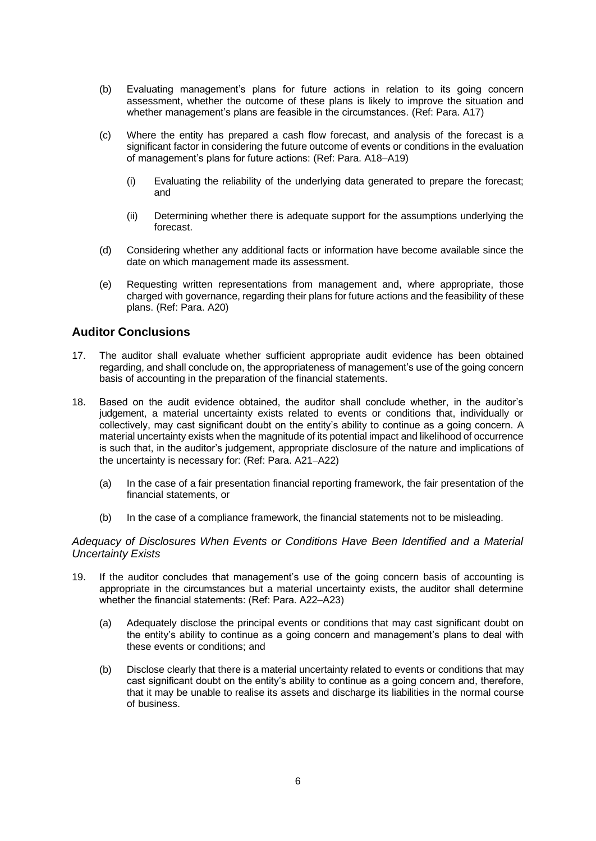- (b) Evaluating management's plans for future actions in relation to its going concern assessment, whether the outcome of these plans is likely to improve the situation and whether management's plans are feasible in the circumstances. (Ref: Para. A17)
- (c) Where the entity has prepared a cash flow forecast, and analysis of the forecast is a significant factor in considering the future outcome of events or conditions in the evaluation of management's plans for future actions: (Ref: Para. A18–A19)
	- (i) Evaluating the reliability of the underlying data generated to prepare the forecast; and
	- (ii) Determining whether there is adequate support for the assumptions underlying the forecast.
- (d) Considering whether any additional facts or information have become available since the date on which management made its assessment.
- (e) Requesting written representations from management and, where appropriate, those charged with governance, regarding their plans for future actions and the feasibility of these plans. (Ref: Para. A20)

#### **Auditor Conclusions**

- 17. The auditor shall evaluate whether sufficient appropriate audit evidence has been obtained regarding, and shall conclude on, the appropriateness of management's use of the going concern basis of accounting in the preparation of the financial statements.
- 18. Based on the audit evidence obtained, the auditor shall conclude whether, in the auditor's judgement, a material uncertainty exists related to events or conditions that, individually or collectively, may cast significant doubt on the entity's ability to continue as a going concern. A material uncertainty exists when the magnitude of its potential impact and likelihood of occurrence is such that, in the auditor's judgement, appropriate disclosure of the nature and implications of the uncertainty is necessary for: (Ref: Para. A21−A22)
	- (a) In the case of a fair presentation financial reporting framework, the fair presentation of the financial statements, or
	- (b) In the case of a compliance framework, the financial statements not to be misleading.

#### *Adequacy of Disclosures When Events or Conditions Have Been Identified and a Material Uncertainty Exists*

- 19. If the auditor concludes that management's use of the going concern basis of accounting is appropriate in the circumstances but a material uncertainty exists, the auditor shall determine whether the financial statements: (Ref: Para. A22-A23)
	- (a) Adequately disclose the principal events or conditions that may cast significant doubt on the entity's ability to continue as a going concern and management's plans to deal with these events or conditions; and
	- (b) Disclose clearly that there is a material uncertainty related to events or conditions that may cast significant doubt on the entity's ability to continue as a going concern and, therefore, that it may be unable to realise its assets and discharge its liabilities in the normal course of business.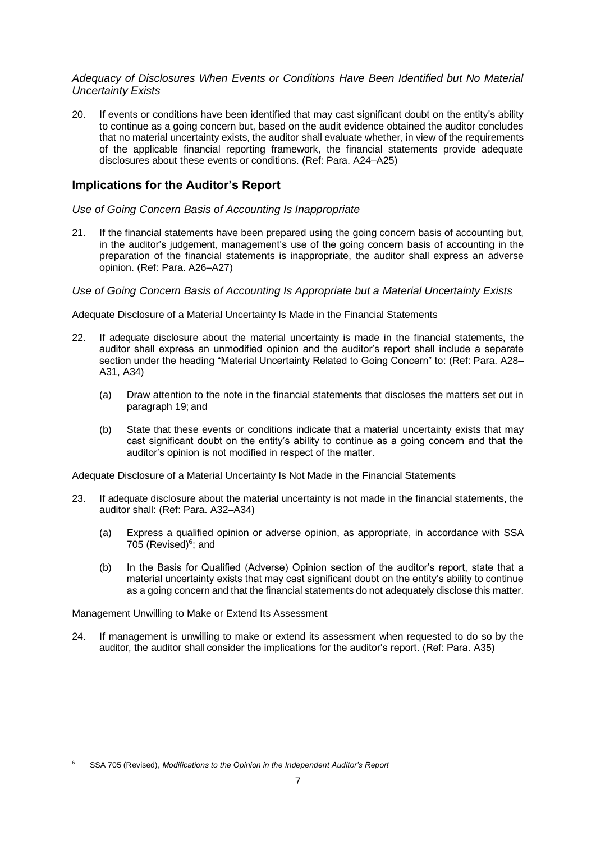#### *Adequacy of Disclosures When Events or Conditions Have Been Identified but No Material Uncertainty Exists*

20. If events or conditions have been identified that may cast significant doubt on the entity's ability to continue as a going concern but, based on the audit evidence obtained the auditor concludes that no material uncertainty exists, the auditor shall evaluate whether, in view of the requirements of the applicable financial reporting framework, the financial statements provide adequate disclosures about these events or conditions. (Ref: Para. A24–A25)

### **Implications for the Auditor's Report**

*Use of Going Concern Basis of Accounting Is Inappropriate*

21. If the financial statements have been prepared using the going concern basis of accounting but, in the auditor's judgement, management's use of the going concern basis of accounting in the preparation of the financial statements is inappropriate, the auditor shall express an adverse opinion. (Ref: Para. A26–A27)

*Use of Going Concern Basis of Accounting Is Appropriate but a Material Uncertainty Exists*

Adequate Disclosure of a Material Uncertainty Is Made in the Financial Statements

- 22. If adequate disclosure about the material uncertainty is made in the financial statements, the auditor shall express an unmodified opinion and the auditor's report shall include a separate section under the heading "Material Uncertainty Related to Going Concern" to: (Ref: Para. A28– A31, A34)
	- (a) Draw attention to the note in the financial statements that discloses the matters set out in paragraph 19; and
	- (b) State that these events or conditions indicate that a material uncertainty exists that may cast significant doubt on the entity's ability to continue as a going concern and that the auditor's opinion is not modified in respect of the matter.

Adequate Disclosure of a Material Uncertainty Is Not Made in the Financial Statements

- 23. If adequate disclosure about the material uncertainty is not made in the financial statements, the auditor shall: (Ref: Para. A32–A34)
	- (a) Express a qualified opinion or adverse opinion, as appropriate, in accordance with SSA 705 (Revised)<sup>6</sup>; and
	- (b) In the Basis for Qualified (Adverse) Opinion section of the auditor's report, state that a material uncertainty exists that may cast significant doubt on the entity's ability to continue as a going concern and that the financial statements do not adequately disclose this matter.

Management Unwilling to Make or Extend Its Assessment

24. If management is unwilling to make or extend its assessment when requested to do so by the auditor, the auditor shall consider the implications for the auditor's report. (Ref: Para. A35)

<sup>6</sup> SSA 705 (Revised), *Modifications to the Opinion in the Independent Auditor's Report*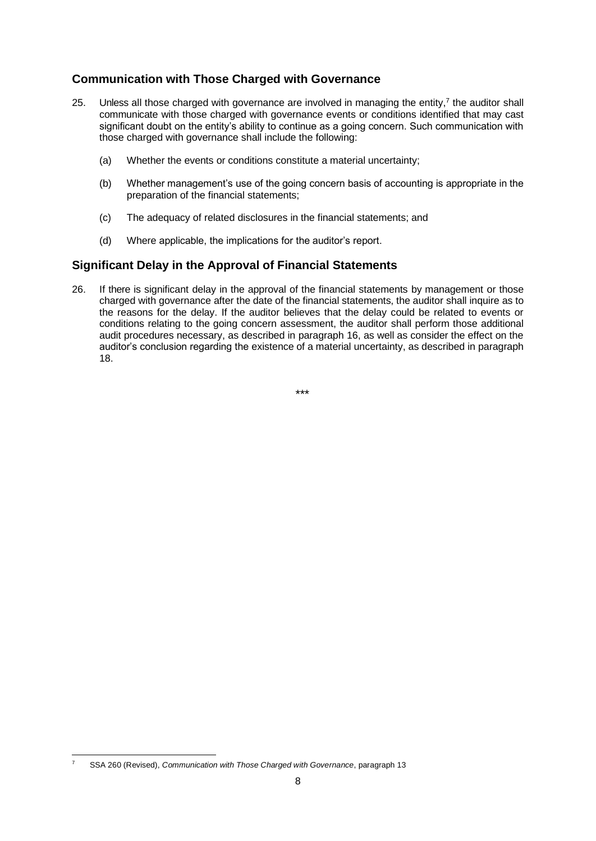## **Communication with Those Charged with Governance**

- 25. Unless all those charged with governance are involved in managing the entity,<sup>7</sup> the auditor shall communicate with those charged with governance events or conditions identified that may cast significant doubt on the entity's ability to continue as a going concern. Such communication with those charged with governance shall include the following:
	- (a) Whether the events or conditions constitute a material uncertainty;
	- (b) Whether management's use of the going concern basis of accounting is appropriate in the preparation of the financial statements;
	- (c) The adequacy of related disclosures in the financial statements; and
	- (d) Where applicable, the implications for the auditor's report.

#### **Significant Delay in the Approval of Financial Statements**

26. If there is significant delay in the approval of the financial statements by management or those charged with governance after the date of the financial statements, the auditor shall inquire as to the reasons for the delay. If the auditor believes that the delay could be related to events or conditions relating to the going concern assessment, the auditor shall perform those additional audit procedures necessary, as described in paragraph 16, as well as consider the effect on the auditor's conclusion regarding the existence of a material uncertainty, as described in paragraph 18.

\*\*\*

<sup>7</sup> SSA 260 (Revised), *Communication with Those Charged with Governance*, paragraph 13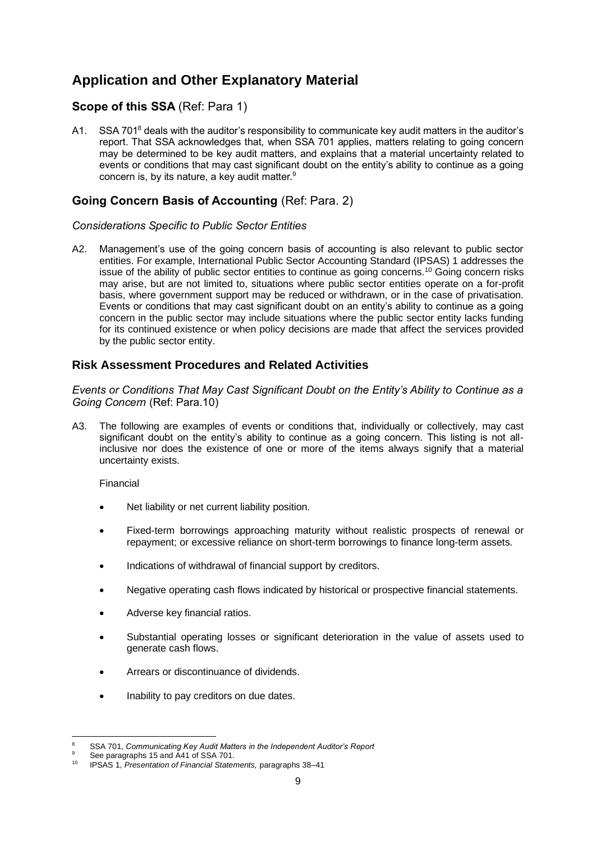## **Application and Other Explanatory Material**

## **Scope of this SSA** (Ref: Para 1)

A1. SSA 701<sup>8</sup> deals with the auditor's responsibility to communicate key audit matters in the auditor's report. That SSA acknowledges that, when SSA 701 applies, matters relating to going concern may be determined to be key audit matters, and explains that a material uncertainty related to events or conditions that may cast significant doubt on the entity's ability to continue as a going concern is, by its nature, a key audit matter.<sup>9</sup>

## **Going Concern Basis of Accounting** (Ref: Para. 2)

#### *Considerations Specific to Public Sector Entities*

A2. Management's use of the going concern basis of accounting is also relevant to public sector entities. For example, International Public Sector Accounting Standard (IPSAS) 1 addresses the issue of the ability of public sector entities to continue as going concerns.<sup>10</sup> Going concern risks may arise, but are not limited to, situations where public sector entities operate on a for-profit basis, where government support may be reduced or withdrawn, or in the case of privatisation. Events or conditions that may cast significant doubt on an entity's ability to continue as a going concern in the public sector may include situations where the public sector entity lacks funding for its continued existence or when policy decisions are made that affect the services provided by the public sector entity.

### **Risk Assessment Procedures and Related Activities**

*Events or Conditions That May Cast Significant Doubt on the Entity's Ability to Continue as a Going Concern* (Ref: Para.10)

A3. The following are examples of events or conditions that, individually or collectively, may cast significant doubt on the entity's ability to continue as a going concern. This listing is not allinclusive nor does the existence of one or more of the items always signify that a material uncertainty exists.

Financial

- Net liability or net current liability position.
- Fixed-term borrowings approaching maturity without realistic prospects of renewal or repayment; or excessive reliance on short-term borrowings to finance long-term assets.
- Indications of withdrawal of financial support by creditors.
- Negative operating cash flows indicated by historical or prospective financial statements.
- Adverse key financial ratios.
- Substantial operating losses or significant deterioration in the value of assets used to generate cash flows.
- Arrears or discontinuance of dividends.
- Inability to pay creditors on due dates.

<sup>8</sup> SSA 701, *Communicating Key Audit Matters in the Independent Auditor's Report*

See paragraphs 15 and A41 of SSA 701.

<sup>10</sup> IPSAS 1, *Presentation of Financial Statements,* paragraphs 38–41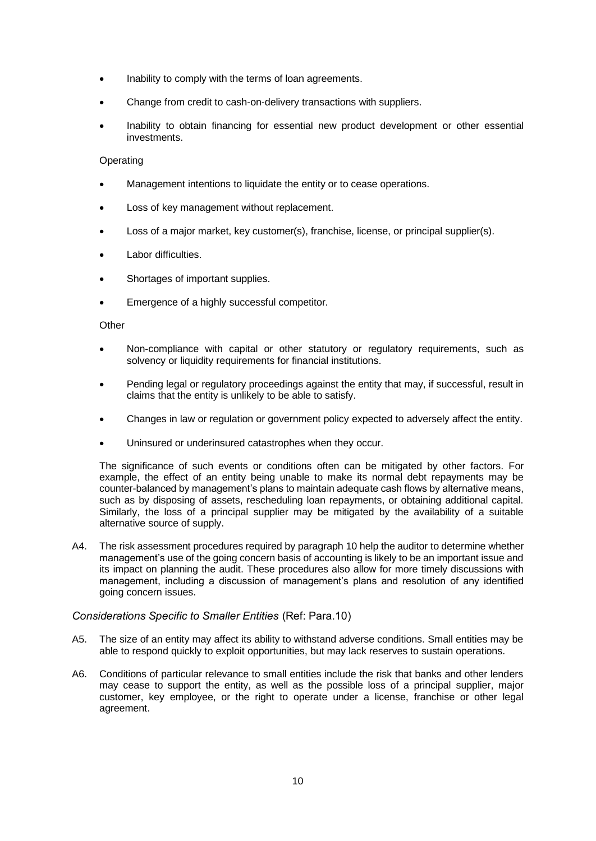- Inability to comply with the terms of loan agreements.
- Change from credit to cash-on-delivery transactions with suppliers.
- Inability to obtain financing for essential new product development or other essential investments.

#### **Operating**

- Management intentions to liquidate the entity or to cease operations.
- Loss of key management without replacement.
- Loss of a major market, key customer(s), franchise, license, or principal supplier(s).
- Labor difficulties.
- Shortages of important supplies.
- Emergence of a highly successful competitor.

#### **Other**

- Non-compliance with capital or other statutory or regulatory requirements, such as solvency or liquidity requirements for financial institutions.
- Pending legal or regulatory proceedings against the entity that may, if successful, result in claims that the entity is unlikely to be able to satisfy.
- Changes in law or regulation or government policy expected to adversely affect the entity.
- Uninsured or underinsured catastrophes when they occur.

The significance of such events or conditions often can be mitigated by other factors. For example, the effect of an entity being unable to make its normal debt repayments may be counter-balanced by management's plans to maintain adequate cash flows by alternative means, such as by disposing of assets, rescheduling loan repayments, or obtaining additional capital. Similarly, the loss of a principal supplier may be mitigated by the availability of a suitable alternative source of supply.

A4. The risk assessment procedures required by paragraph 10 help the auditor to determine whether management's use of the going concern basis of accounting is likely to be an important issue and its impact on planning the audit. These procedures also allow for more timely discussions with management, including a discussion of management's plans and resolution of any identified going concern issues.

#### *Considerations Specific to Smaller Entities* (Ref: Para.10)

- A5. The size of an entity may affect its ability to withstand adverse conditions. Small entities may be able to respond quickly to exploit opportunities, but may lack reserves to sustain operations.
- A6. Conditions of particular relevance to small entities include the risk that banks and other lenders may cease to support the entity, as well as the possible loss of a principal supplier, major customer, key employee, or the right to operate under a license, franchise or other legal agreement.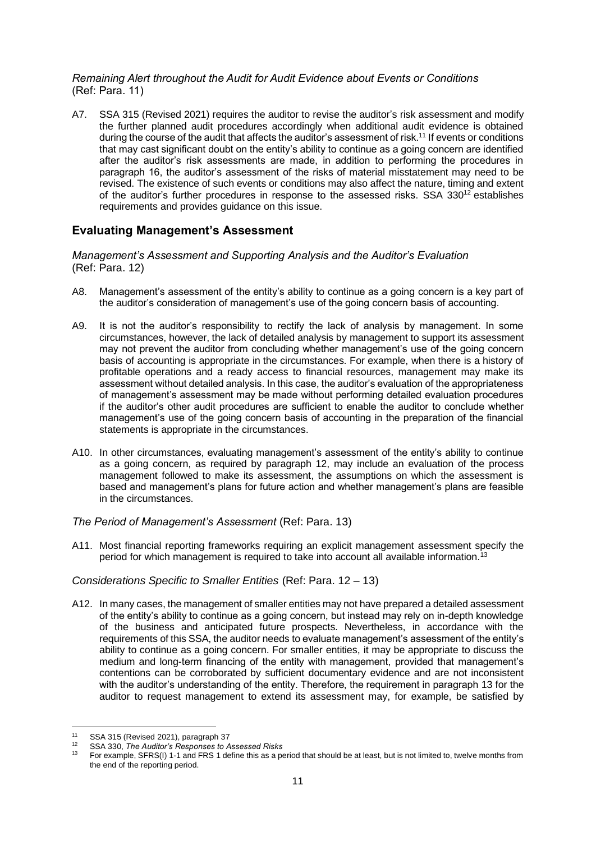*Remaining Alert throughout the Audit for Audit Evidence about Events or Conditions*  (Ref: Para. 11)

A7. SSA 315 (Revised 2021) requires the auditor to revise the auditor's risk assessment and modify the further planned audit procedures accordingly when additional audit evidence is obtained during the course of the audit that affects the auditor's assessment of risk.<sup>11</sup> If events or conditions that may cast significant doubt on the entity's ability to continue as a going concern are identified after the auditor's risk assessments are made, in addition to performing the procedures in paragraph 16, the auditor's assessment of the risks of material misstatement may need to be revised. The existence of such events or conditions may also affect the nature, timing and extent of the auditor's further procedures in response to the assessed risks. SSA  $330^{12}$  establishes requirements and provides guidance on this issue.

## **Evaluating Management's Assessment**

*Management's Assessment and Supporting Analysis and the Auditor's Evaluation* (Ref: Para. 12)

- A8. Management's assessment of the entity's ability to continue as a going concern is a key part of the auditor's consideration of management's use of the going concern basis of accounting.
- A9. It is not the auditor's responsibility to rectify the lack of analysis by management. In some circumstances, however, the lack of detailed analysis by management to support its assessment may not prevent the auditor from concluding whether management's use of the going concern basis of accounting is appropriate in the circumstances. For example, when there is a history of profitable operations and a ready access to financial resources, management may make its assessment without detailed analysis. In this case, the auditor's evaluation of the appropriateness of management's assessment may be made without performing detailed evaluation procedures if the auditor's other audit procedures are sufficient to enable the auditor to conclude whether management's use of the going concern basis of accounting in the preparation of the financial statements is appropriate in the circumstances.
- A10. In other circumstances, evaluating management's assessment of the entity's ability to continue as a going concern, as required by paragraph 12, may include an evaluation of the process management followed to make its assessment, the assumptions on which the assessment is based and management's plans for future action and whether management's plans are feasible in the circumstances.

#### *The Period of Management's Assessment* (Ref: Para. 13)

A11. Most financial reporting frameworks requiring an explicit management assessment specify the period for which management is required to take into account all available information.<sup>13</sup>

#### *Considerations Specific to Smaller Entities* (Ref: Para. 12 – 13)

A12. In many cases, the management of smaller entities may not have prepared a detailed assessment of the entity's ability to continue as a going concern, but instead may rely on in-depth knowledge of the business and anticipated future prospects. Nevertheless, in accordance with the requirements of this SSA, the auditor needs to evaluate management's assessment of the entity's ability to continue as a going concern. For smaller entities, it may be appropriate to discuss the medium and long-term financing of the entity with management, provided that management's contentions can be corroborated by sufficient documentary evidence and are not inconsistent with the auditor's understanding of the entity. Therefore, the requirement in paragraph 13 for the auditor to request management to extend its assessment may, for example, be satisfied by

<sup>&</sup>lt;sup>11</sup> SSA 315 (Revised 2021), paragraph 37<br><sup>12</sup> SSA 330, The Auditor's Peaperson to 2

<sup>12</sup> SSA 330, *The Auditor's Responses to Assessed Risks*

For example, SFRS(I) 1-1 and FRS 1 define this as a period that should be at least, but is not limited to, twelve months from the end of the reporting period.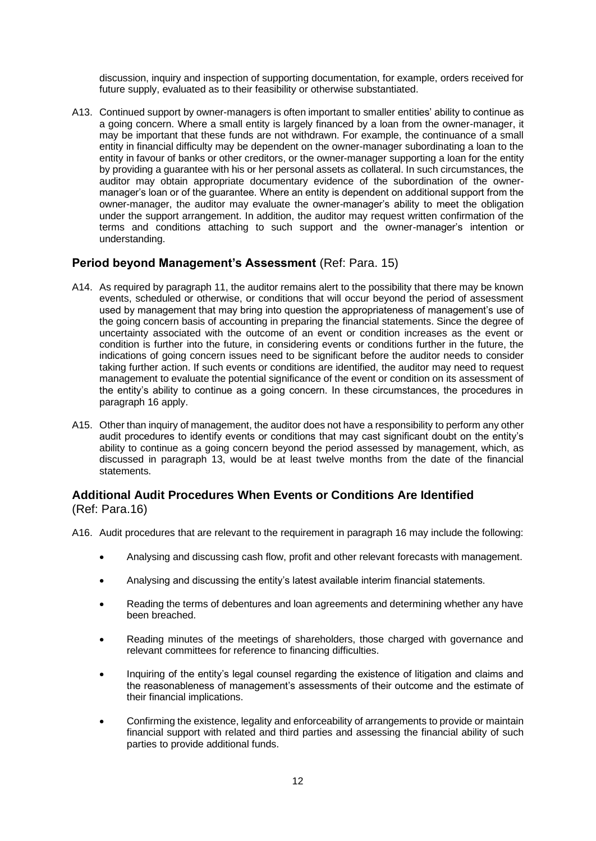discussion, inquiry and inspection of supporting documentation, for example, orders received for future supply, evaluated as to their feasibility or otherwise substantiated.

A13. Continued support by owner-managers is often important to smaller entities' ability to continue as a going concern. Where a small entity is largely financed by a loan from the owner-manager, it may be important that these funds are not withdrawn. For example, the continuance of a small entity in financial difficulty may be dependent on the owner-manager subordinating a loan to the entity in favour of banks or other creditors, or the owner-manager supporting a loan for the entity by providing a guarantee with his or her personal assets as collateral. In such circumstances, the auditor may obtain appropriate documentary evidence of the subordination of the ownermanager's loan or of the guarantee. Where an entity is dependent on additional support from the owner-manager, the auditor may evaluate the owner-manager's ability to meet the obligation under the support arrangement. In addition, the auditor may request written confirmation of the terms and conditions attaching to such support and the owner-manager's intention or understanding.

### **Period beyond Management's Assessment** (Ref: Para. 15)

- A14. As required by paragraph 11, the auditor remains alert to the possibility that there may be known events, scheduled or otherwise, or conditions that will occur beyond the period of assessment used by management that may bring into question the appropriateness of management's use of the going concern basis of accounting in preparing the financial statements. Since the degree of uncertainty associated with the outcome of an event or condition increases as the event or condition is further into the future, in considering events or conditions further in the future, the indications of going concern issues need to be significant before the auditor needs to consider taking further action. If such events or conditions are identified, the auditor may need to request management to evaluate the potential significance of the event or condition on its assessment of the entity's ability to continue as a going concern. In these circumstances, the procedures in paragraph 16 apply.
- A15. Other than inquiry of management, the auditor does not have a responsibility to perform any other audit procedures to identify events or conditions that may cast significant doubt on the entity's ability to continue as a going concern beyond the period assessed by management, which, as discussed in paragraph 13, would be at least twelve months from the date of the financial statements.

#### **Additional Audit Procedures When Events or Conditions Are Identified**  (Ref: Para.16)

- A16. Audit procedures that are relevant to the requirement in paragraph 16 may include the following:
	- Analysing and discussing cash flow, profit and other relevant forecasts with management.
	- Analysing and discussing the entity's latest available interim financial statements.
	- Reading the terms of debentures and loan agreements and determining whether any have been breached.
	- Reading minutes of the meetings of shareholders, those charged with governance and relevant committees for reference to financing difficulties.
	- Inquiring of the entity's legal counsel regarding the existence of litigation and claims and the reasonableness of management's assessments of their outcome and the estimate of their financial implications.
	- Confirming the existence, legality and enforceability of arrangements to provide or maintain financial support with related and third parties and assessing the financial ability of such parties to provide additional funds.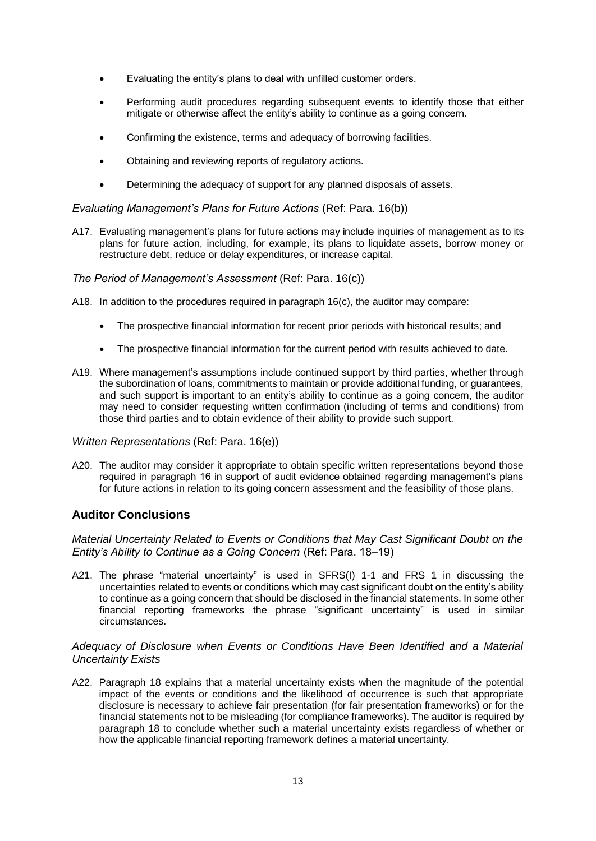- Evaluating the entity's plans to deal with unfilled customer orders.
- Performing audit procedures regarding subsequent events to identify those that either mitigate or otherwise affect the entity's ability to continue as a going concern.
- Confirming the existence, terms and adequacy of borrowing facilities.
- Obtaining and reviewing reports of regulatory actions.
- Determining the adequacy of support for any planned disposals of assets.

*Evaluating Management's Plans for Future Actions* (Ref: Para. 16(b))

A17. Evaluating management's plans for future actions may include inquiries of management as to its plans for future action, including, for example, its plans to liquidate assets, borrow money or restructure debt, reduce or delay expenditures, or increase capital.

*The Period of Management's Assessment* (Ref: Para. 16(c))

- A18. In addition to the procedures required in paragraph 16(c), the auditor may compare:
	- The prospective financial information for recent prior periods with historical results; and
	- The prospective financial information for the current period with results achieved to date.
- A19. Where management's assumptions include continued support by third parties, whether through the subordination of loans, commitments to maintain or provide additional funding, or guarantees, and such support is important to an entity's ability to continue as a going concern, the auditor may need to consider requesting written confirmation (including of terms and conditions) from those third parties and to obtain evidence of their ability to provide such support.

#### *Written Representations* (Ref: Para. 16(e))

A20. The auditor may consider it appropriate to obtain specific written representations beyond those required in paragraph 16 in support of audit evidence obtained regarding management's plans for future actions in relation to its going concern assessment and the feasibility of those plans.

## **Auditor Conclusions**

*Material Uncertainty Related to Events or Conditions that May Cast Significant Doubt on the Entity's Ability to Continue as a Going Concern (Ref: Para. 18–19)* 

A21. The phrase "material uncertainty" is used in SFRS(I) 1-1 and FRS 1 in discussing the uncertainties related to events or conditions which may cast significant doubt on the entity's ability to continue as a going concern that should be disclosed in the financial statements. In some other financial reporting frameworks the phrase "significant uncertainty" is used in similar circumstances.

#### *Adequacy of Disclosure when Events or Conditions Have Been Identified and a Material Uncertainty Exists*

A22. Paragraph 18 explains that a material uncertainty exists when the magnitude of the potential impact of the events or conditions and the likelihood of occurrence is such that appropriate disclosure is necessary to achieve fair presentation (for fair presentation frameworks) or for the financial statements not to be misleading (for compliance frameworks). The auditor is required by paragraph 18 to conclude whether such a material uncertainty exists regardless of whether or how the applicable financial reporting framework defines a material uncertainty.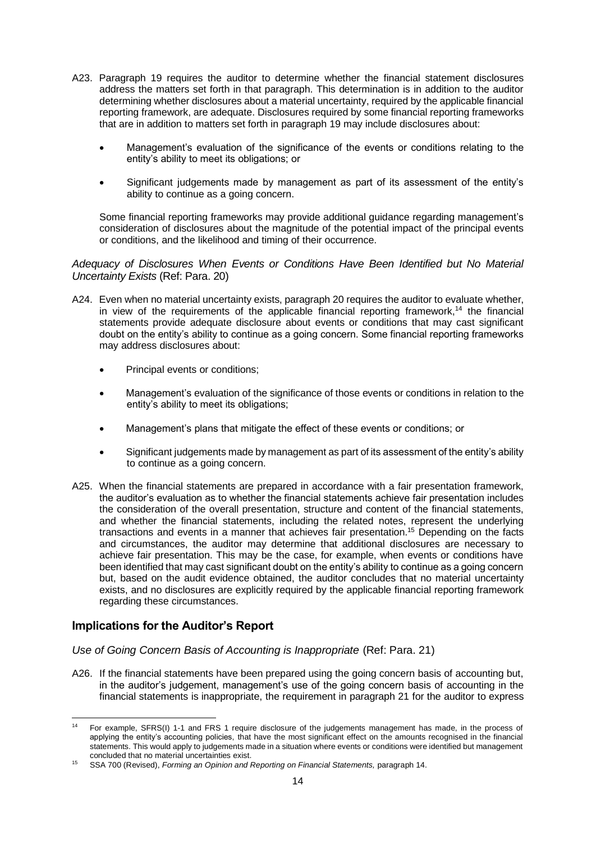- A23. Paragraph 19 requires the auditor to determine whether the financial statement disclosures address the matters set forth in that paragraph. This determination is in addition to the auditor determining whether disclosures about a material uncertainty, required by the applicable financial reporting framework, are adequate. Disclosures required by some financial reporting frameworks that are in addition to matters set forth in paragraph 19 may include disclosures about:
	- Management's evaluation of the significance of the events or conditions relating to the entity's ability to meet its obligations; or
	- Significant judgements made by management as part of its assessment of the entity's ability to continue as a going concern.

Some financial reporting frameworks may provide additional guidance regarding management's consideration of disclosures about the magnitude of the potential impact of the principal events or conditions, and the likelihood and timing of their occurrence.

#### *Adequacy of Disclosures When Events or Conditions Have Been Identified but No Material Uncertainty Exists* (Ref: Para. 20)

- A24. Even when no material uncertainty exists, paragraph 20 requires the auditor to evaluate whether, in view of the requirements of the applicable financial reporting framework,<sup>14</sup> the financial statements provide adequate disclosure about events or conditions that may cast significant doubt on the entity's ability to continue as a going concern. Some financial reporting frameworks may address disclosures about:
	- Principal events or conditions;
	- Management's evaluation of the significance of those events or conditions in relation to the entity's ability to meet its obligations;
	- Management's plans that mitigate the effect of these events or conditions; or
	- Significant judgements made by management as part of its assessment of the entity's ability to continue as a going concern.
- A25. When the financial statements are prepared in accordance with a fair presentation framework, the auditor's evaluation as to whether the financial statements achieve fair presentation includes the consideration of the overall presentation, structure and content of the financial statements, and whether the financial statements, including the related notes, represent the underlying transactions and events in a manner that achieves fair presentation.<sup>15</sup> Depending on the facts and circumstances, the auditor may determine that additional disclosures are necessary to achieve fair presentation. This may be the case, for example, when events or conditions have been identified that may cast significant doubt on the entity's ability to continue as a going concern but, based on the audit evidence obtained, the auditor concludes that no material uncertainty exists, and no disclosures are explicitly required by the applicable financial reporting framework regarding these circumstances.

#### **Implications for the Auditor's Report**

*Use of Going Concern Basis of Accounting is Inappropriate* (Ref: Para. 21)

A26. If the financial statements have been prepared using the going concern basis of accounting but, in the auditor's judgement, management's use of the going concern basis of accounting in the financial statements is inappropriate, the requirement in paragraph 21 for the auditor to express

<sup>14</sup> For example, SFRS(I) 1-1 and FRS 1 require disclosure of the judgements management has made, in the process of applying the entity's accounting policies, that have the most significant effect on the amounts recognised in the financial statements. This would apply to judgements made in a situation where events or conditions were identified but management concluded that no material uncertainties exist.

<sup>15</sup> SSA 700 (Revised), *Forming an Opinion and Reporting on Financial Statements,* paragraph 14.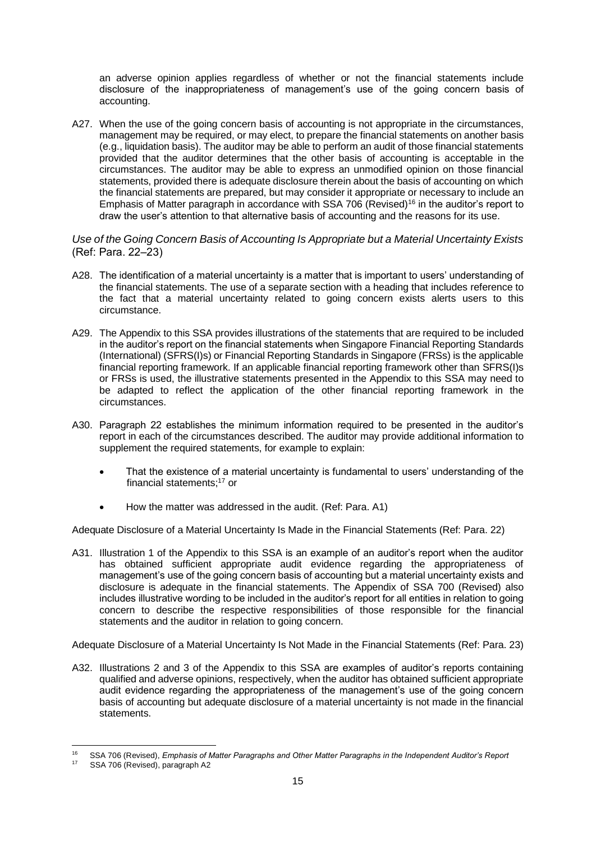an adverse opinion applies regardless of whether or not the financial statements include disclosure of the inappropriateness of management's use of the going concern basis of accounting.

A27. When the use of the going concern basis of accounting is not appropriate in the circumstances, management may be required, or may elect, to prepare the financial statements on another basis (e.g., liquidation basis). The auditor may be able to perform an audit of those financial statements provided that the auditor determines that the other basis of accounting is acceptable in the circumstances. The auditor may be able to express an unmodified opinion on those financial statements, provided there is adequate disclosure therein about the basis of accounting on which the financial statements are prepared, but may consider it appropriate or necessary to include an Emphasis of Matter paragraph in accordance with SSA 706 (Revised)<sup>16</sup> in the auditor's report to draw the user's attention to that alternative basis of accounting and the reasons for its use.

#### *Use of the Going Concern Basis of Accounting Is Appropriate but a Material Uncertainty Exists*  (Ref: Para. 22‒23)

- A28. The identification of a material uncertainty is a matter that is important to users' understanding of the financial statements. The use of a separate section with a heading that includes reference to the fact that a material uncertainty related to going concern exists alerts users to this circumstance.
- A29. The Appendix to this SSA provides illustrations of the statements that are required to be included in the auditor's report on the financial statements when Singapore Financial Reporting Standards (International) (SFRS(I)s) or Financial Reporting Standards in Singapore (FRSs) is the applicable financial reporting framework. If an applicable financial reporting framework other than SFRS(I)s or FRSs is used, the illustrative statements presented in the Appendix to this SSA may need to be adapted to reflect the application of the other financial reporting framework in the circumstances.
- A30. Paragraph 22 establishes the minimum information required to be presented in the auditor's report in each of the circumstances described. The auditor may provide additional information to supplement the required statements, for example to explain:
	- That the existence of a material uncertainty is fundamental to users' understanding of the financial statements;<sup>17</sup> or
	- How the matter was addressed in the audit. (Ref: Para. A1)

Adequate Disclosure of a Material Uncertainty Is Made in the Financial Statements (Ref: Para. 22)

A31. Illustration 1 of the Appendix to this SSA is an example of an auditor's report when the auditor has obtained sufficient appropriate audit evidence regarding the appropriateness of management's use of the going concern basis of accounting but a material uncertainty exists and disclosure is adequate in the financial statements. The Appendix of SSA 700 (Revised) also includes illustrative wording to be included in the auditor's report for all entities in relation to going concern to describe the respective responsibilities of those responsible for the financial statements and the auditor in relation to going concern.

Adequate Disclosure of a Material Uncertainty Is Not Made in the Financial Statements (Ref: Para. 23)

A32. Illustrations 2 and 3 of the Appendix to this SSA are examples of auditor's reports containing qualified and adverse opinions, respectively, when the auditor has obtained sufficient appropriate audit evidence regarding the appropriateness of the management's use of the going concern basis of accounting but adequate disclosure of a material uncertainty is not made in the financial statements.

<sup>&</sup>lt;sup>16</sup> SSA 706 (Revised), *Emphasis of Matter Paragraphs and Other Matter Paragraphs in the Independent Auditor's Report* 

<sup>17</sup> SSA 706 (Revised), paragraph A2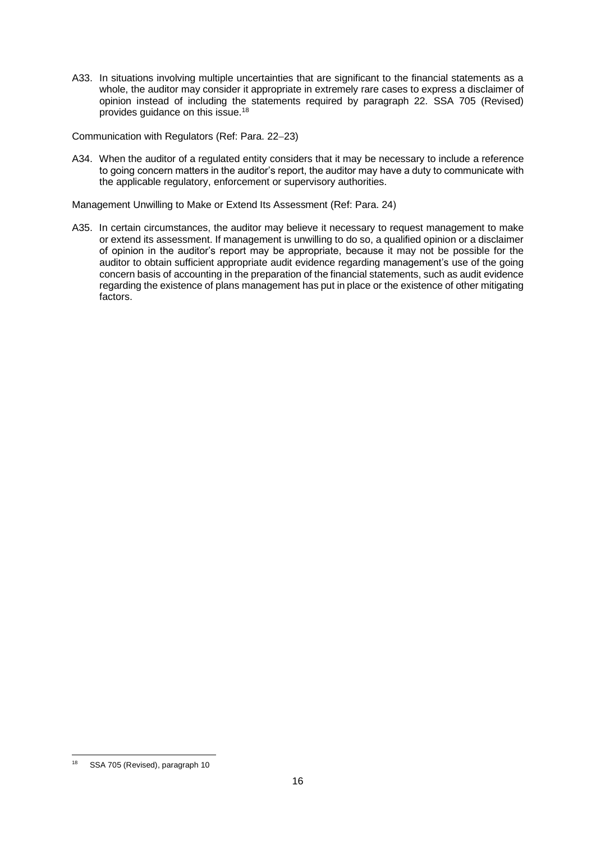A33. In situations involving multiple uncertainties that are significant to the financial statements as a whole, the auditor may consider it appropriate in extremely rare cases to express a disclaimer of opinion instead of including the statements required by paragraph 22. SSA 705 (Revised) provides guidance on this issue.<sup>18</sup>

Communication with Regulators (Ref: Para. 22−23)

A34. When the auditor of a regulated entity considers that it may be necessary to include a reference to going concern matters in the auditor's report, the auditor may have a duty to communicate with the applicable regulatory, enforcement or supervisory authorities.

Management Unwilling to Make or Extend Its Assessment (Ref: Para. 24)

A35. In certain circumstances, the auditor may believe it necessary to request management to make or extend its assessment. If management is unwilling to do so, a qualified opinion or a disclaimer of opinion in the auditor's report may be appropriate, because it may not be possible for the auditor to obtain sufficient appropriate audit evidence regarding management's use of the going concern basis of accounting in the preparation of the financial statements, such as audit evidence regarding the existence of plans management has put in place or the existence of other mitigating factors.

<sup>18</sup> SSA 705 (Revised), paragraph 10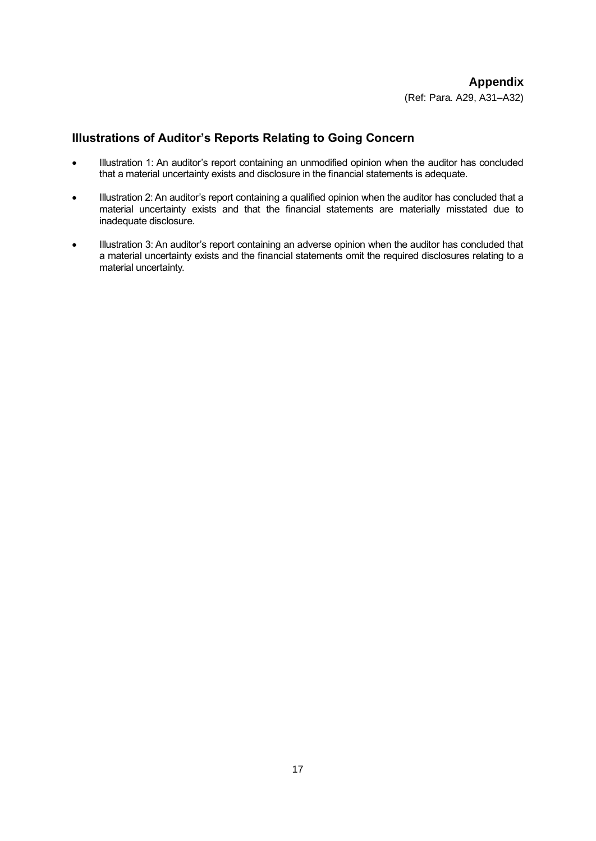## **Illustrations of Auditor's Reports Relating to Going Concern**

- Illustration 1: An auditor's report containing an unmodified opinion when the auditor has concluded that a material uncertainty exists and disclosure in the financial statements is adequate.
- Illustration 2: An auditor's report containing a qualified opinion when the auditor has concluded that a material uncertainty exists and that the financial statements are materially misstated due to inadequate disclosure.
- Illustration 3: An auditor's report containing an adverse opinion when the auditor has concluded that a material uncertainty exists and the financial statements omit the required disclosures relating to a material uncertainty.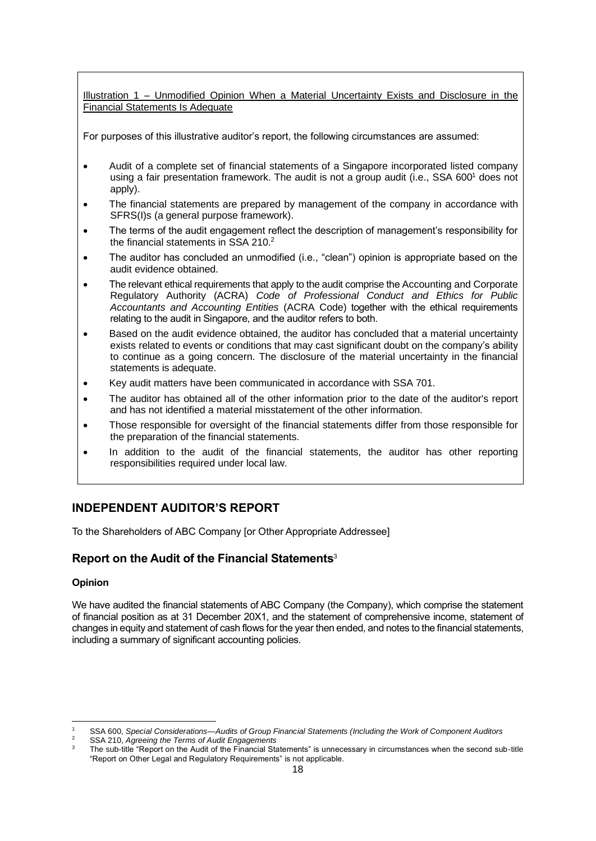Illustration 1 – Unmodified Opinion When a Material Uncertainty Exists and Disclosure in the Financial Statements Is Adequate

For purposes of this illustrative auditor's report, the following circumstances are assumed:

- Audit of a complete set of financial statements of a Singapore incorporated listed company using a fair presentation framework. The audit is not a group audit (i.e., SSA 600<sup>1</sup> does not apply).
- The financial statements are prepared by management of the company in accordance with SFRS(I)s (a general purpose framework).
- The terms of the audit engagement reflect the description of management's responsibility for the financial statements in SSA 210.<sup>2</sup>
- The auditor has concluded an unmodified (i.e., "clean") opinion is appropriate based on the audit evidence obtained.
- The relevant ethical requirements that apply to the audit comprise the Accounting and Corporate Regulatory Authority (ACRA) *Code of Professional Conduct and Ethics for Public Accountants and Accounting Entities* (ACRA Code) together with the ethical requirements relating to the audit in Singapore, and the auditor refers to both.
- Based on the audit evidence obtained, the auditor has concluded that a material uncertainty exists related to events or conditions that may cast significant doubt on the company's ability to continue as a going concern. The disclosure of the material uncertainty in the financial statements is adequate.
- Key audit matters have been communicated in accordance with SSA 701.
- The auditor has obtained all of the other information prior to the date of the auditor's report and has not identified a material misstatement of the other information.
- Those responsible for oversight of the financial statements differ from those responsible for the preparation of the financial statements.
- In addition to the audit of the financial statements, the auditor has other reporting responsibilities required under local law.

## **INDEPENDENT AUDITOR'S REPORT**

To the Shareholders of ABC Company [or Other Appropriate Addressee]

#### **Report on the Audit of the Financial Statements**<sup>3</sup>

#### **Opinion**

We have audited the financial statements of ABC Company (the Company), which comprise the statement of financial position as at 31 December 20X1, and the statement of comprehensive income, statement of changes in equity and statement of cash flows for the year then ended, and notes to the financial statements, including a summary of significant accounting policies.

<sup>1</sup> SSA 600, *Special Considerations—Audits of Group Financial Statements (Including the Work of Component Auditors*

<sup>2</sup> SSA 210, *Agreeing the Terms of Audit Engagements*

<sup>3</sup> The sub-title "Report on the Audit of the Financial Statements" is unnecessary in circumstances when the second sub-title "Report on Other Legal and Regulatory Requirements" is not applicable.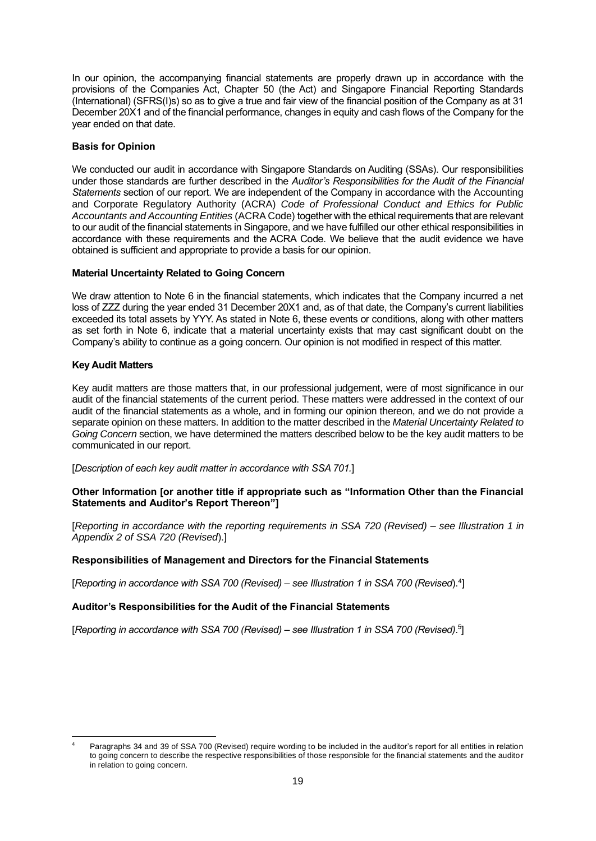In our opinion, the accompanying financial statements are properly drawn up in accordance with the provisions of the Companies Act, Chapter 50 (the Act) and Singapore Financial Reporting Standards (International) (SFRS(I)s) so as to give a true and fair view of the financial position of the Company as at 31 December 20X1 and of the financial performance, changes in equity and cash flows of the Company for the year ended on that date.

#### **Basis for Opinion**

We conducted our audit in accordance with Singapore Standards on Auditing (SSAs). Our responsibilities under those standards are further described in the *Auditor's Responsibilities for the Audit of the Financial Statements* section of our report. We are independent of the Company in accordance with the Accounting and Corporate Regulatory Authority (ACRA) *Code of Professional Conduct and Ethics for Public Accountants and Accounting Entities* (ACRA Code) together with the ethical requirements that are relevant to our audit of the financial statements in Singapore, and we have fulfilled our other ethical responsibilities in accordance with these requirements and the ACRA Code. We believe that the audit evidence we have obtained is sufficient and appropriate to provide a basis for our opinion.

#### **Material Uncertainty Related to Going Concern**

We draw attention to Note 6 in the financial statements, which indicates that the Company incurred a net loss of ZZZ during the year ended 31 December 20X1 and, as of that date, the Company's current liabilities exceeded its total assets by YYY. As stated in Note 6, these events or conditions, along with other matters as set forth in Note 6, indicate that a material uncertainty exists that may cast significant doubt on the Company's ability to continue as a going concern. Our opinion is not modified in respect of this matter.

#### **Key Audit Matters**

Key audit matters are those matters that, in our professional judgement, were of most significance in our audit of the financial statements of the current period. These matters were addressed in the context of our audit of the financial statements as a whole, and in forming our opinion thereon, and we do not provide a separate opinion on these matters. In addition to the matter described in the *Material Uncertainty Related to Going Concern* section, we have determined the matters described below to be the key audit matters to be communicated in our report.

[*Description of each key audit matter in accordance with SSA 701.*]

#### **Other Information [or another title if appropriate such as "Information Other than the Financial Statements and Auditor's Report Thereon"]**

[*Reporting in accordance with the reporting requirements in SSA 720 (Revised) – see Illustration 1 in Appendix 2 of SSA 720 (Revised*).]

#### **Responsibilities of Management and Directors for the Financial Statements**

[Reporting in accordance with SSA 700 (Revised) – see Illustration 1 in SSA 700 (Revised).<sup>4</sup>]

#### **Auditor's Responsibilities for the Audit of the Financial Statements**

[*Reporting in accordance with SSA 700 (Revised) – see Illustration 1 in SSA 700 (Revised)*. 5 ]

Paragraphs 34 and 39 of SSA 700 (Revised) require wording to be included in the auditor's report for all entities in relation to going concern to describe the respective responsibilities of those responsible for the financial statements and the auditor in relation to going concern.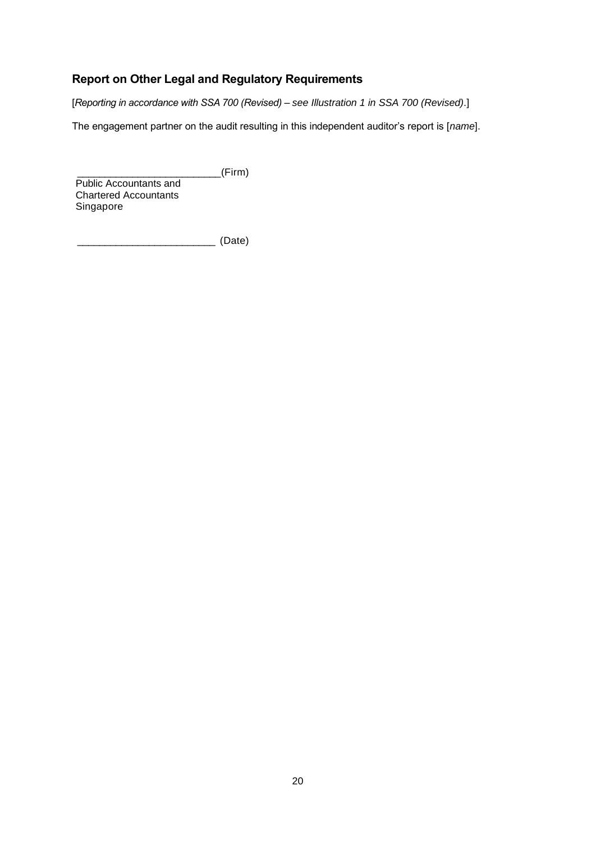## **Report on Other Legal and Regulatory Requirements**

[*Reporting in accordance with SSA 700 (Revised) – see Illustration 1 in SSA 700 (Revised)*.]

The engagement partner on the audit resulting in this independent auditor's report is [*name*].

 $\sqrt{F}$  (Firm)

Public Accountants and Chartered Accountants Singapore

\_\_\_\_\_\_\_\_\_\_\_\_\_\_\_\_\_\_\_\_\_\_\_\_\_ (Date)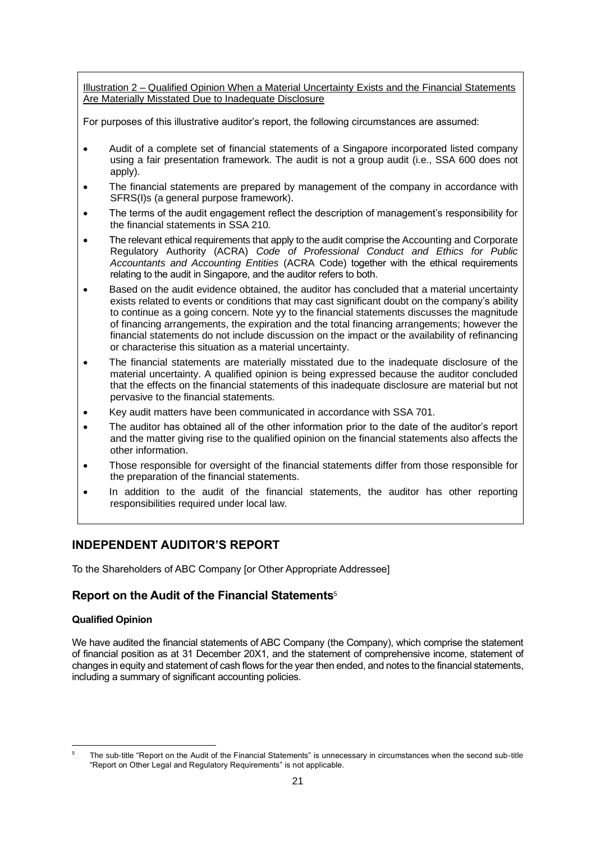Illustration 2 – Qualified Opinion When a Material Uncertainty Exists and the Financial Statements Are Materially Misstated Due to Inadequate Disclosure

For purposes of this illustrative auditor's report, the following circumstances are assumed:

- Audit of a complete set of financial statements of a Singapore incorporated listed company using a fair presentation framework. The audit is not a group audit (i.e., SSA 600 does not apply).
- The financial statements are prepared by management of the company in accordance with SFRS(I)s (a general purpose framework).
- The terms of the audit engagement reflect the description of management's responsibility for the financial statements in SSA 210*.*
- The relevant ethical requirements that apply to the audit comprise the Accounting and Corporate Regulatory Authority (ACRA) *Code of Professional Conduct and Ethics for Public Accountants and Accounting Entities* (ACRA Code) together with the ethical requirements relating to the audit in Singapore, and the auditor refers to both.
- Based on the audit evidence obtained, the auditor has concluded that a material uncertainty exists related to events or conditions that may cast significant doubt on the company's ability to continue as a going concern. Note yy to the financial statements discusses the magnitude of financing arrangements, the expiration and the total financing arrangements; however the financial statements do not include discussion on the impact or the availability of refinancing or characterise this situation as a material uncertainty.
- The financial statements are materially misstated due to the inadequate disclosure of the material uncertainty. A qualified opinion is being expressed because the auditor concluded that the effects on the financial statements of this inadequate disclosure are material but not pervasive to the financial statements.
- Key audit matters have been communicated in accordance with SSA 701.
- The auditor has obtained all of the other information prior to the date of the auditor's report and the matter giving rise to the qualified opinion on the financial statements also affects the other information.
- Those responsible for oversight of the financial statements differ from those responsible for the preparation of the financial statements.
- In addition to the audit of the financial statements, the auditor has other reporting responsibilities required under local law.

## **INDEPENDENT AUDITOR'S REPORT**

To the Shareholders of ABC Company [or Other Appropriate Addressee]

#### **Report on the Audit of the Financial Statements**<sup>5</sup>

#### **Qualified Opinion**

We have audited the financial statements of ABC Company (the Company), which comprise the statement of financial position as at 31 December 20X1, and the statement of comprehensive income, statement of changes in equity and statement of cash flows for the year then ended, and notes to the financial statements, including a summary of significant accounting policies.

<sup>5</sup> The sub-title "Report on the Audit of the Financial Statements" is unnecessary in circumstances when the second sub-title "Report on Other Legal and Regulatory Requirements" is not applicable.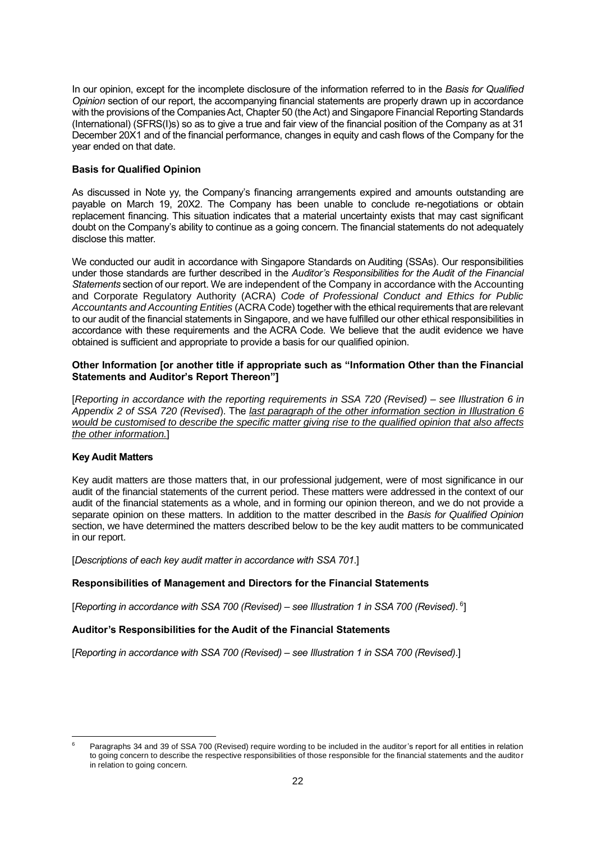In our opinion, except for the incomplete disclosure of the information referred to in the *Basis for Qualified Opinion* section of our report, the accompanying financial statements are properly drawn up in accordance with the provisions of the Companies Act, Chapter 50 (the Act) and Singapore Financial Reporting Standards (International) (SFRS(I)s) so as to give a true and fair view of the financial position of the Company as at 31 December 20X1 and of the financial performance, changes in equity and cash flows of the Company for the year ended on that date.

#### **Basis for Qualified Opinion**

As discussed in Note yy, the Company's financing arrangements expired and amounts outstanding are payable on March 19, 20X2. The Company has been unable to conclude re-negotiations or obtain replacement financing. This situation indicates that a material uncertainty exists that may cast significant doubt on the Company's ability to continue as a going concern. The financial statements do not adequately disclose this matter.

We conducted our audit in accordance with Singapore Standards on Auditing (SSAs). Our responsibilities under those standards are further described in the *Auditor's Responsibilities for the Audit of the Financial Statements* section of our report. We are independent of the Company in accordance with the Accounting and Corporate Regulatory Authority (ACRA) *Code of Professional Conduct and Ethics for Public Accountants and Accounting Entities* (ACRA Code) together with the ethical requirements that are relevant to our audit of the financial statements in Singapore, and we have fulfilled our other ethical responsibilities in accordance with these requirements and the ACRA Code. We believe that the audit evidence we have obtained is sufficient and appropriate to provide a basis for our qualified opinion.

#### **Other Information [or another title if appropriate such as "Information Other than the Financial Statements and Auditor's Report Thereon"]**

[*Reporting in accordance with the reporting requirements in SSA 720 (Revised) – see Illustration 6 in Appendix 2 of SSA 720 (Revised*). The *last paragraph of the other information section in Illustration 6 would be customised to describe the specific matter giving rise to the qualified opinion that also affects the other information.*]

#### **Key Audit Matters**

Key audit matters are those matters that, in our professional judgement, were of most significance in our audit of the financial statements of the current period. These matters were addressed in the context of our audit of the financial statements as a whole, and in forming our opinion thereon, and we do not provide a separate opinion on these matters. In addition to the matter described in the *Basis for Qualified Opinion*  section, we have determined the matters described below to be the key audit matters to be communicated in our report.

[*Descriptions of each key audit matter in accordance with SSA 701*.]

#### **Responsibilities of Management and Directors for the Financial Statements**

[*Reporting in accordance with SSA 700 (Revised) – see Illustration 1 in SSA 700 (Revised)*. 6 ]

#### **Auditor's Responsibilities for the Audit of the Financial Statements**

[*Reporting in accordance with SSA 700 (Revised) – see Illustration 1 in SSA 700 (Revised)*.]

Paragraphs 34 and 39 of SSA 700 (Revised) require wording to be included in the auditor's report for all entities in relation to going concern to describe the respective responsibilities of those responsible for the financial statements and the auditor in relation to going concern.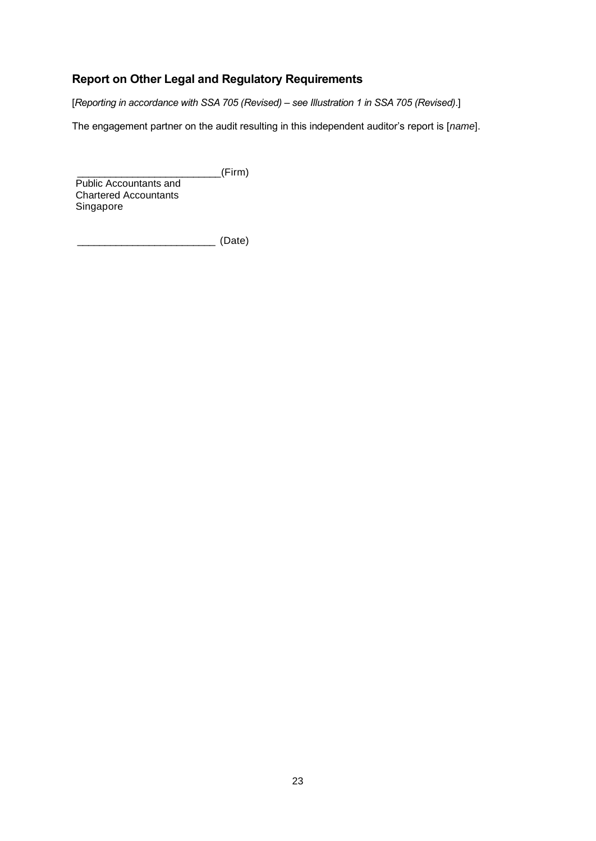## **Report on Other Legal and Regulatory Requirements**

[*Reporting in accordance with SSA 705 (Revised) – see Illustration 1 in SSA 705 (Revised)*.]

The engagement partner on the audit resulting in this independent auditor's report is [*name*].

 $\sqrt{F}$  (Firm)

Public Accountants and Chartered Accountants Singapore

\_\_\_\_\_\_\_\_\_\_\_\_\_\_\_\_\_\_\_\_\_\_\_\_\_ (Date)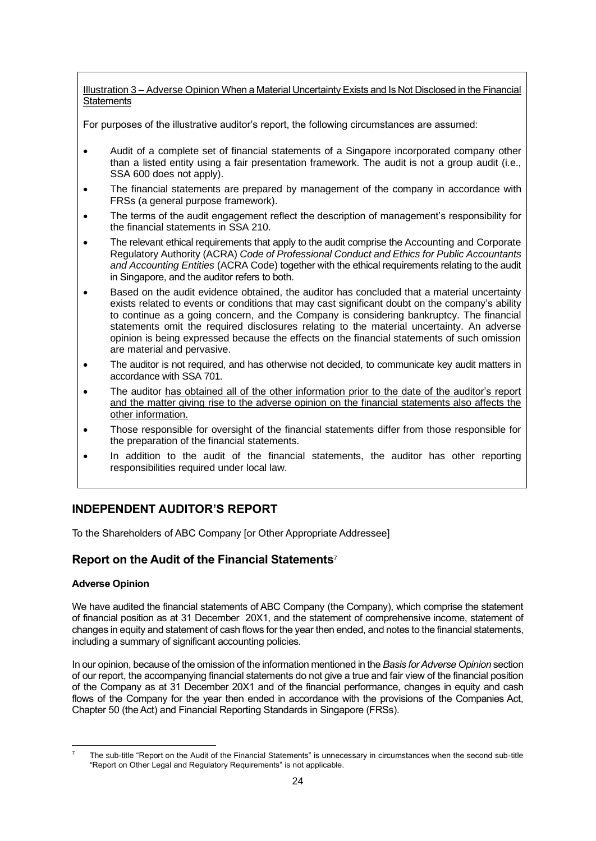#### Illustration 3 – Adverse Opinion When a Material Uncertainty Exists and Is Not Disclosed in the Financial **Statements**

For purposes of the illustrative auditor's report, the following circumstances are assumed:

- Audit of a complete set of financial statements of a Singapore incorporated company other than a listed entity using a fair presentation framework. The audit is not a group audit (i.e., SSA 600 does not apply).
- The financial statements are prepared by management of the company in accordance with FRSs (a general purpose framework).
- The terms of the audit engagement reflect the description of management's responsibility for the financial statements in SSA 210.
- The relevant ethical requirements that apply to the audit comprise the Accounting and Corporate Regulatory Authority (ACRA) *Code of Professional Conduct and Ethics for Public Accountants and Accounting Entities* (ACRA Code) together with the ethical requirements relating to the audit in Singapore, and the auditor refers to both.
- Based on the audit evidence obtained, the auditor has concluded that a material uncertainty exists related to events or conditions that may cast significant doubt on the company's ability to continue as a going concern, and the Company is considering bankruptcy. The financial statements omit the required disclosures relating to the material uncertainty. An adverse opinion is being expressed because the effects on the financial statements of such omission are material and pervasive.
- The auditor is not required, and has otherwise not decided, to communicate key audit matters in accordance with SSA 701.
- The auditor has obtained all of the other information prior to the date of the auditor's report and the matter giving rise to the adverse opinion on the financial statements also affects the other information.
- Those responsible for oversight of the financial statements differ from those responsible for the preparation of the financial statements.
- In addition to the audit of the financial statements, the auditor has other reporting responsibilities required under local law.

## **INDEPENDENT AUDITOR'S REPORT**

To the Shareholders of ABC Company [or Other Appropriate Addressee]

## **Report on the Audit of the Financial Statements**<sup>7</sup>

#### **Adverse Opinion**

We have audited the financial statements of ABC Company (the Company), which comprise the statement of financial position as at 31 December 20X1, and the statement of comprehensive income, statement of changes in equity and statement of cash flows for the year then ended, and notes to the financial statements, including a summary of significant accounting policies.

In our opinion, because of the omission of the information mentioned in the *Basis for Adverse Opinion* section of our report, the accompanying financial statements do not give a true and fair view of the financial position of the Company as at 31 December 20X1 and of the financial performance, changes in equity and cash flows of the Company for the year then ended in accordance with the provisions of the Companies Act, Chapter 50 (the Act) and Financial Reporting Standards in Singapore (FRSs).

<sup>7</sup> The sub-title "Report on the Audit of the Financial Statements" is unnecessary in circumstances when the second sub-title "Report on Other Legal and Regulatory Requirements" is not applicable.